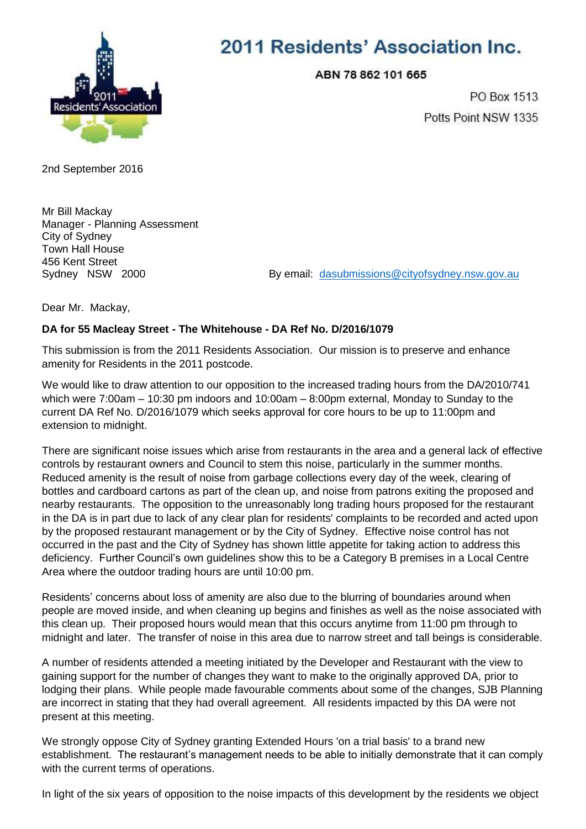

## 2011 Residents' Association Inc.

ABN 78 862 101 665

PO Box 1513 Potts Point NSW 1335

2nd September 2016

Mr Bill Mackay Manager - Planning Assessment City of Sydney Town Hall House 456 Kent Street<br>Sydney NSW 2000

By email: [dasubmissions@cityofsydney.nsw.gov.au](mailto:dasubmissions@cityofsydney.nsw.gov.au)

Dear Mr. Mackay,

## **DA for 55 Macleay Street - The Whitehouse - DA Ref No. D/2016/1079**

This submission is from the 2011 Residents Association. Our mission is to preserve and enhance amenity for Residents in the 2011 postcode.

We would like to draw attention to our opposition to the increased trading hours from the DA/2010/741 which were 7:00am – 10:30 pm indoors and 10:00am – 8:00pm external, Monday to Sunday to the current DA Ref No. D/2016/1079 which seeks approval for core hours to be up to 11:00pm and extension to midnight.

There are significant noise issues which arise from restaurants in the area and a general lack of effective controls by restaurant owners and Council to stem this noise, particularly in the summer months. Reduced amenity is the result of noise from garbage collections every day of the week, clearing of bottles and cardboard cartons as part of the clean up, and noise from patrons exiting the proposed and nearby restaurants. The opposition to the unreasonably long trading hours proposed for the restaurant in the DA is in part due to lack of any clear plan for residents' complaints to be recorded and acted upon by the proposed restaurant management or by the City of Sydney. Effective noise control has not occurred in the past and the City of Sydney has shown little appetite for taking action to address this deficiency. Further Council's own guidelines show this to be a Category B premises in a Local Centre Area where the outdoor trading hours are until 10:00 pm.

Residents' concerns about loss of amenity are also due to the blurring of boundaries around when people are moved inside, and when cleaning up begins and finishes as well as the noise associated with this clean up. Their proposed hours would mean that this occurs anytime from 11:00 pm through to midnight and later. The transfer of noise in this area due to narrow street and tall beings is considerable.

A number of residents attended a meeting initiated by the Developer and Restaurant with the view to gaining support for the number of changes they want to make to the originally approved DA, prior to lodging their plans. While people made favourable comments about some of the changes, SJB Planning are incorrect in stating that they had overall agreement. All residents impacted by this DA were not present at this meeting.

We strongly oppose City of Sydney granting Extended Hours 'on a trial basis' to a brand new establishment. The restaurant's management needs to be able to initially demonstrate that it can comply with the current terms of operations.

In light of the six years of opposition to the noise impacts of this development by the residents we object